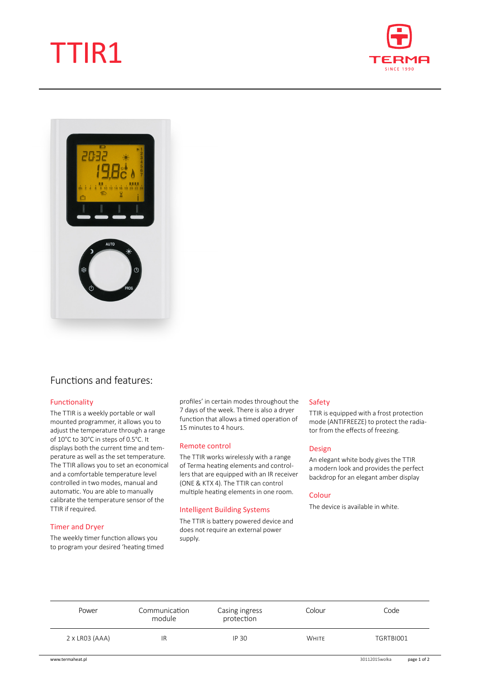# TTIR1





# Functions and features:

# Functionality

The TTIR is a weekly portable or wall mounted programmer, it allows you to adjust the temperature through a range of 10°C to 30°C in steps of 0.5°C. It displays both the current time and temperature as well as the set temperature. The TTIR allows you to set an economical and a comfortable temperature level controlled in two modes, manual and automatic. You are able to manually calibrate the temperature sensor of the TTIR if required.

# Timer and Dryer

The weekly timer function allows you to program your desired 'heating timed profiles' in certain modes throughout the 7 days of the week. There is also a dryer function that allows a timed operation of 15 minutes to 4 hours.

#### Remote control

The TTIR works wirelessly with a range of Terma heating elements and controllers that are equipped with an IR receiver (ONE & KTX 4). The TTIR can control multiple heating elements in one room.

# Intelligent Building Systems

The TTIR is battery powered device and does not require an external power supply.

# Safety

TTIR is equipped with a frost protection mode (ANTIFREEZE) to protect the radiator from the effects of freezing.

# Design

An elegant white body gives the TTIR a modern look and provides the perfect backdrop for an elegant amber display

#### Colour

The device is available in white.

| Power                 | Communication<br>module | Casing ingress<br>protection | Colour       | Code      |
|-----------------------|-------------------------|------------------------------|--------------|-----------|
| $2 \times$ LR03 (AAA) | IR                      | <b>IP 30</b>                 | <b>WHITE</b> | TGRTBI001 |